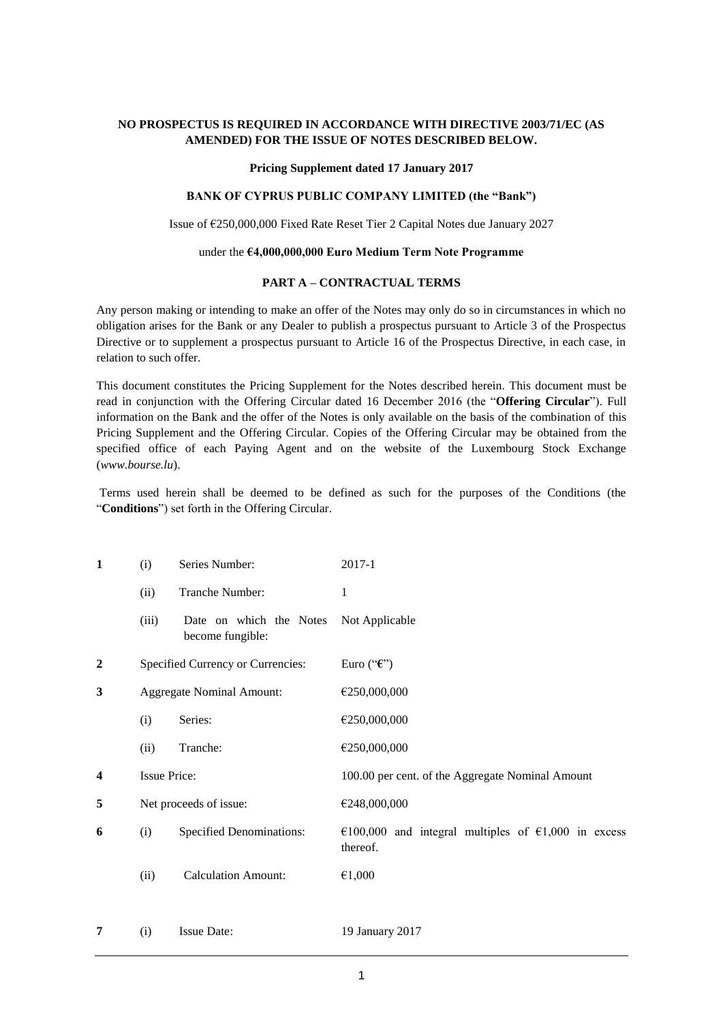# **NO PROSPECTUS IS REQUIRED IN ACCORDANCE WITH DIRECTIVE 2003/71/EC (AS AMENDED) FOR THE ISSUE OF NOTES DESCRIBED BELOW.**

#### **Pricing Supplement dated 17 January 2017**

# **BANK OF CYPRUS PUBLIC COMPANY LIMITED (the "Bank")**

Issue of €250,000,000 Fixed Rate Reset Tier 2 Capital Notes due January 2027

#### under the **€4,000,000,000 Euro Medium Term Note Programme**

#### **PART A – CONTRACTUAL TERMS**

Any person making or intending to make an offer of the Notes may only do so in circumstances in which no obligation arises for the Bank or any Dealer to publish a prospectus pursuant to Article 3 of the Prospectus Directive or to supplement a prospectus pursuant to Article 16 of the Prospectus Directive, in each case, in relation to such offer.

This document constitutes the Pricing Supplement for the Notes described herein. This document must be read in conjunction with the Offering Circular dated 16 December 2016 (the "**Offering Circular**"). Full information on the Bank and the offer of the Notes is only available on the basis of the combination of this Pricing Supplement and the Offering Circular. Copies of the Offering Circular may be obtained from the specified office of each Paying Agent and on the website of the Luxembourg Stock Exchange (*www.bourse.lu*).

Terms used herein shall be deemed to be defined as such for the purposes of the Conditions (the "**Conditions**") set forth in the Offering Circular.

| $\mathbf{1}$     | (i)                 | Series Number:                              | 2017-1                                                          |  |  |
|------------------|---------------------|---------------------------------------------|-----------------------------------------------------------------|--|--|
|                  | (ii)                | Tranche Number:                             | 1                                                               |  |  |
|                  | (iii)               | Date on which the Notes<br>become fungible: | Not Applicable                                                  |  |  |
| $\boldsymbol{2}$ |                     | Specified Currency or Currencies:           | Euro (" $\mathbf{f}$ ")                                         |  |  |
| 3                |                     | <b>Aggregate Nominal Amount:</b>            | €250,000,000                                                    |  |  |
|                  | (i)                 | Series:                                     | €250,000,000                                                    |  |  |
|                  | (ii)                | Tranche:                                    | €250,000,000                                                    |  |  |
| 4                | <b>Issue Price:</b> |                                             | 100.00 per cent. of the Aggregate Nominal Amount                |  |  |
| 5                |                     | Net proceeds of issue:                      | €248,000,000                                                    |  |  |
| 6                | (i)                 | <b>Specified Denominations:</b>             | €100,000 and integral multiples of €1,000 in excess<br>thereof. |  |  |
|                  | (ii)                | <b>Calculation Amount:</b>                  | €1,000                                                          |  |  |
| 7                | (i)                 | <b>Issue Date:</b>                          | 19 January 2017                                                 |  |  |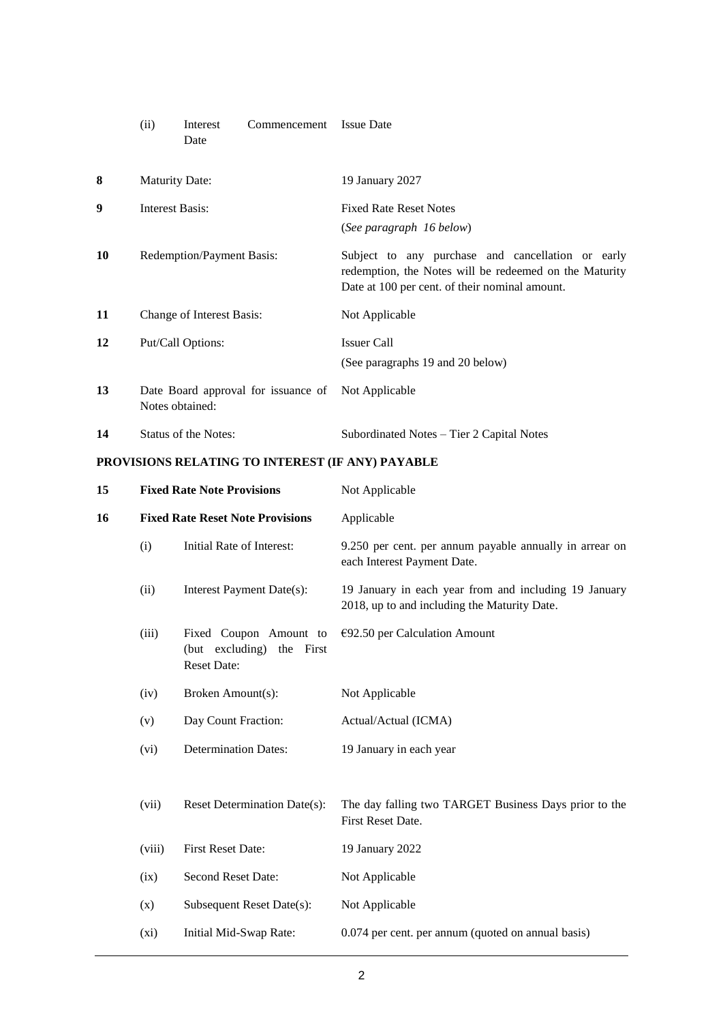|    | (ii)                                                                  | Interest<br>Date            | Commencement Issue Date |                                                                                                                                                               |
|----|-----------------------------------------------------------------------|-----------------------------|-------------------------|---------------------------------------------------------------------------------------------------------------------------------------------------------------|
| 8  | <b>Maturity Date:</b>                                                 |                             |                         | 19 January 2027                                                                                                                                               |
| 9  | Interest Basis:                                                       |                             |                         | <b>Fixed Rate Reset Notes</b><br>(See paragraph 16 below)                                                                                                     |
| 10 |                                                                       | Redemption/Payment Basis:   |                         | Subject to any purchase and cancellation or early<br>redemption, the Notes will be redeemed on the Maturity<br>Date at 100 per cent. of their nominal amount. |
| 11 | Change of Interest Basis:                                             |                             |                         | Not Applicable                                                                                                                                                |
| 12 |                                                                       | Put/Call Options:           |                         | <b>Issuer Call</b><br>(See paragraphs 19 and 20 below)                                                                                                        |
| 13 | Date Board approval for issuance of Not Applicable<br>Notes obtained: |                             |                         |                                                                                                                                                               |
| 14 |                                                                       | <b>Status of the Notes:</b> |                         | Subordinated Notes – Tier 2 Capital Notes                                                                                                                     |

# **PROVISIONS RELATING TO INTEREST (IF ANY) PAYABLE**

| 15 | <b>Fixed Rate Note Provisions</b> |                                                                           | Not Applicable                                                                                        |  |
|----|-----------------------------------|---------------------------------------------------------------------------|-------------------------------------------------------------------------------------------------------|--|
| 16 |                                   | <b>Fixed Rate Reset Note Provisions</b>                                   | Applicable                                                                                            |  |
|    | (i)                               | Initial Rate of Interest:                                                 | 9.250 per cent. per annum payable annually in arrear on<br>each Interest Payment Date.                |  |
|    | (ii)                              | Interest Payment Date(s):                                                 | 19 January in each year from and including 19 January<br>2018, up to and including the Maturity Date. |  |
|    | (iii)                             | Fixed Coupon Amount to<br>(but excluding) the First<br><b>Reset Date:</b> | $E$ 92.50 per Calculation Amount                                                                      |  |
|    | (iv)                              | Broken Amount(s):                                                         | Not Applicable                                                                                        |  |
|    | (v)                               | Day Count Fraction:                                                       | Actual/Actual (ICMA)                                                                                  |  |
|    | (vi)                              | <b>Determination Dates:</b>                                               | 19 January in each year                                                                               |  |
|    |                                   |                                                                           |                                                                                                       |  |
|    | (vii)                             | Reset Determination Date(s):                                              | The day falling two TARGET Business Days prior to the<br>First Reset Date.                            |  |
|    | (viii)                            | <b>First Reset Date:</b>                                                  | 19 January 2022                                                                                       |  |
|    | (ix)                              | Second Reset Date:                                                        | Not Applicable                                                                                        |  |
|    | (x)                               | Subsequent Reset Date(s):                                                 | Not Applicable                                                                                        |  |
|    | (xi)                              | Initial Mid-Swap Rate:                                                    | 0.074 per cent. per annum (quoted on annual basis)                                                    |  |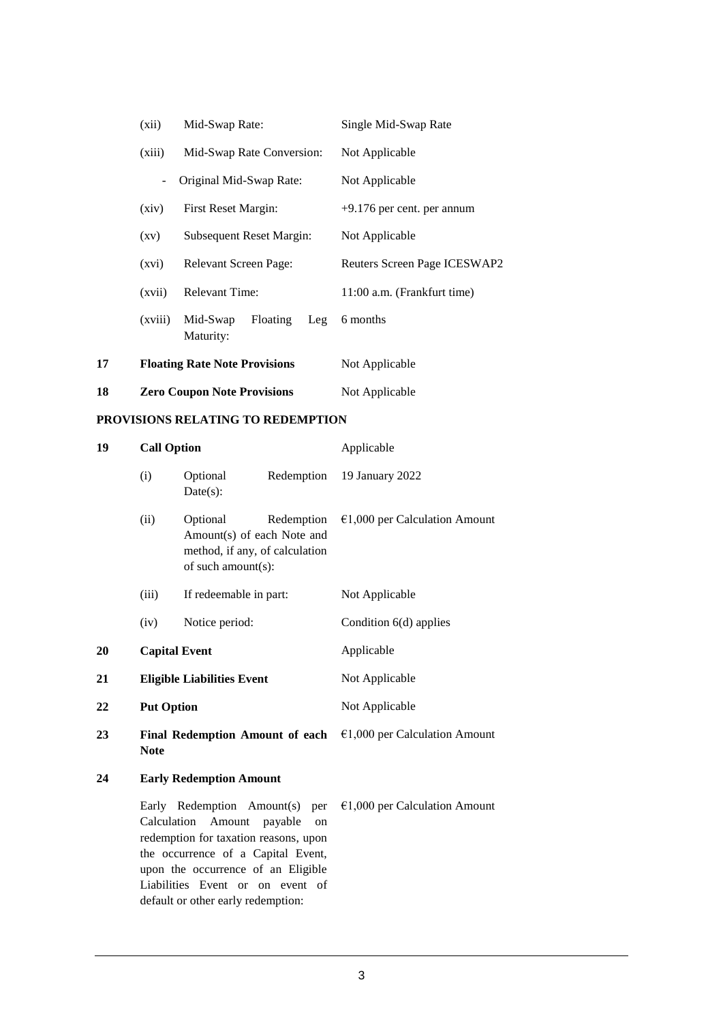|    | (xii)                               | Mid-Swap Rate:                       |                | Single Mid-Swap Rate         |
|----|-------------------------------------|--------------------------------------|----------------|------------------------------|
|    | Mid-Swap Rate Conversion:<br>(xiii) |                                      | Not Applicable |                              |
|    |                                     | Original Mid-Swap Rate:              |                | Not Applicable               |
|    | First Reset Margin:<br>(xiv)        |                                      |                | $+9.176$ per cent. per annum |
|    | (xv)                                | Subsequent Reset Margin:             |                | Not Applicable               |
|    | (xvi)                               | Relevant Screen Page:                |                | Reuters Screen Page ICESWAP2 |
|    | (xvii)                              | <b>Relevant Time:</b>                |                | 11:00 a.m. (Frankfurt time)  |
|    | (xviii)                             | Floating<br>Mid-Swap<br>Maturity:    | Leg            | 6 months                     |
| 17 |                                     | <b>Floating Rate Note Provisions</b> |                | Not Applicable               |
| 18 | <b>Zero Coupon Note Provisions</b>  |                                      |                | Not Applicable               |

#### **PROVISIONS RELATING TO REDEMPTION**

upon the occurrence of an Eligible Liabilities Event or on event of default or other early redemption:

| 19 | <b>Call Option</b>                                                                                     |                                                                                                                         |               | Applicable                              |  |
|----|--------------------------------------------------------------------------------------------------------|-------------------------------------------------------------------------------------------------------------------------|---------------|-----------------------------------------|--|
|    | (i)                                                                                                    | Optional<br>$Date(s)$ :                                                                                                 |               | Redemption 19 January 2022              |  |
|    | (ii)<br>Optional<br>Amount(s) of each Note and<br>method, if any, of calculation<br>of such amount(s): |                                                                                                                         | Redemption    | $€1,000$ per Calculation Amount         |  |
|    | (iii)                                                                                                  | If redeemable in part:                                                                                                  |               | Not Applicable                          |  |
|    | (iv)                                                                                                   | Notice period:                                                                                                          |               | Condition 6(d) applies                  |  |
| 20 |                                                                                                        | <b>Capital Event</b>                                                                                                    |               | Applicable                              |  |
| 21 |                                                                                                        | <b>Eligible Liabilities Event</b>                                                                                       |               | Not Applicable                          |  |
| 22 | <b>Put Option</b>                                                                                      |                                                                                                                         |               | Not Applicable                          |  |
| 23 | <b>Note</b>                                                                                            | Final Redemption Amount of each                                                                                         |               | $€1,000$ per Calculation Amount         |  |
| 24 | <b>Early Redemption Amount</b>                                                                         |                                                                                                                         |               |                                         |  |
|    | Calculation                                                                                            | Early Redemption Amount(s) per<br>Amount<br>redemption for taxation reasons, upon<br>the occurrence of a Capital Event, | payable<br>on | $\epsilon$ 1,000 per Calculation Amount |  |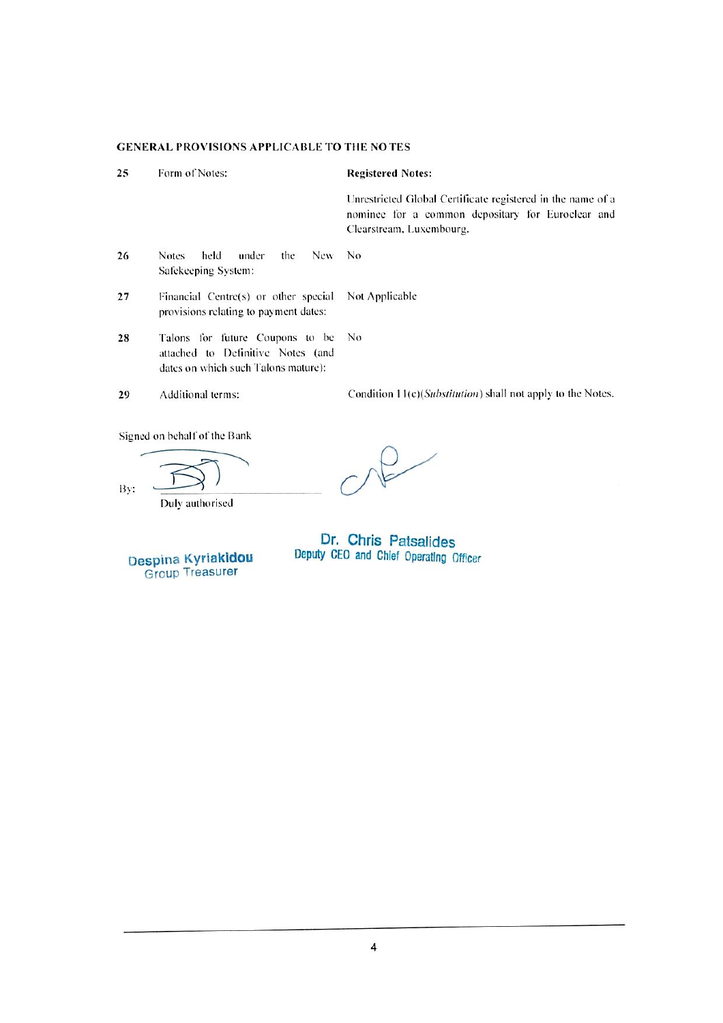|    | <b>GENERAL PROVISIONS APPLICABLE TO THE NOTES</b>                                                           |                                                                                                                                              |
|----|-------------------------------------------------------------------------------------------------------------|----------------------------------------------------------------------------------------------------------------------------------------------|
| 25 | Form of Notes:                                                                                              | <b>Registered Notes:</b>                                                                                                                     |
|    |                                                                                                             | Unrestricted Global Certificate registered in the name of a<br>nominee for a common depositary for Euroclear and<br>Clearstream, Luxembourg. |
| 26 | held<br>under<br><b>New</b><br>the<br><b>Notes</b><br>Safekeeping System:                                   | N <sub>0</sub>                                                                                                                               |
| 27 | Financial Centre(s) or other special<br>provisions relating to payment dates:                               | Not Applicable                                                                                                                               |
| 28 | Talons for future Coupons to be<br>attached to Definitive Notes (and<br>dates on which such Talons mature): | No.                                                                                                                                          |
| 29 | Additional terms:                                                                                           | Condition 11(c)( <i>Substitution</i> ) shall not apply to the Notes.                                                                         |
|    | Signed on behalf of the Bank                                                                                |                                                                                                                                              |

By:

Duly authorised

 $O<sup>2</sup>$ 

Despina Kyriakidou

Dr. Chris Patsalides<br>Deputy CEO and Chief Operating Officer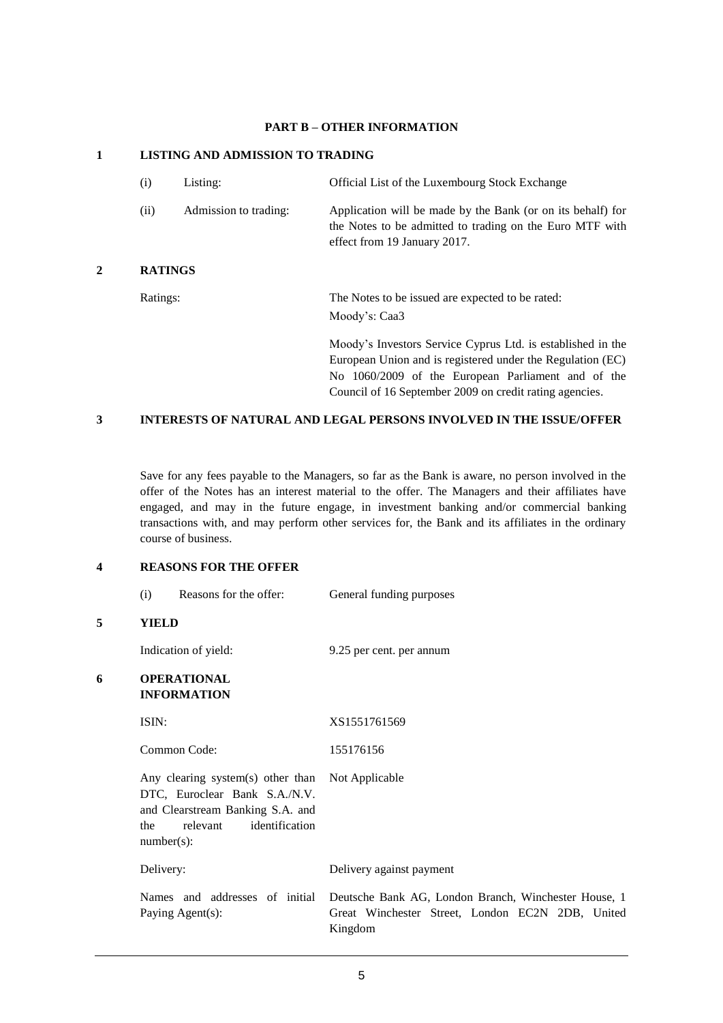### **PART B – OTHER INFORMATION**

## **1 LISTING AND ADMISSION TO TRADING**

| (i)            | Listing:              | Official List of the Luxembourg Stock Exchange                                                                                                                                  |
|----------------|-----------------------|---------------------------------------------------------------------------------------------------------------------------------------------------------------------------------|
| (ii)           | Admission to trading: | Application will be made by the Bank (or on its behalf) for<br>the Notes to be admitted to trading on the Euro MTF with<br>effect from 19 January 2017.                         |
| <b>RATINGS</b> |                       |                                                                                                                                                                                 |
| Ratings:       |                       | The Notes to be issued are expected to be rated:                                                                                                                                |
|                |                       | Moody's: Caa3                                                                                                                                                                   |
|                |                       | Moody's Investors Service Cyprus Ltd. is established in the<br>European Union and is registered under the Regulation (EC)<br>No 1060/2009 of the European Parliament and of the |

# **3 INTERESTS OF NATURAL AND LEGAL PERSONS INVOLVED IN THE ISSUE/OFFER**

Save for any fees payable to the Managers, so far as the Bank is aware, no person involved in the offer of the Notes has an interest material to the offer. The Managers and their affiliates have engaged, and may in the future engage, in investment banking and/or commercial banking transactions with, and may perform other services for, the Bank and its affiliates in the ordinary course of business.

Council of 16 September 2009 on credit rating agencies.

# **4 REASONS FOR THE OFFER**

**5 YIELD**

|   | (i)                                      | Reasons for the offer:                                                                                                                              | General funding purposes                                                                                                                           |
|---|------------------------------------------|-----------------------------------------------------------------------------------------------------------------------------------------------------|----------------------------------------------------------------------------------------------------------------------------------------------------|
| 5 | <b>YIELD</b>                             |                                                                                                                                                     |                                                                                                                                                    |
|   |                                          | Indication of yield:                                                                                                                                | 9.25 per cent. per annum                                                                                                                           |
| 6 | <b>OPERATIONAL</b><br><b>INFORMATION</b> |                                                                                                                                                     |                                                                                                                                                    |
|   | ISIN:                                    |                                                                                                                                                     | XS1551761569                                                                                                                                       |
|   |                                          | Common Code:                                                                                                                                        | 155176156                                                                                                                                          |
|   | the<br>$number(s)$ :                     | Any clearing system(s) other than Not Applicable<br>DTC, Euroclear Bank S.A./N.V.<br>and Clearstream Banking S.A. and<br>identification<br>relevant |                                                                                                                                                    |
|   | Delivery:                                |                                                                                                                                                     | Delivery against payment                                                                                                                           |
|   |                                          | Paying Agent(s):                                                                                                                                    | Names and addresses of initial Deutsche Bank AG, London Branch, Winchester House, 1<br>Great Winchester Street, London EC2N 2DB, United<br>Kingdom |